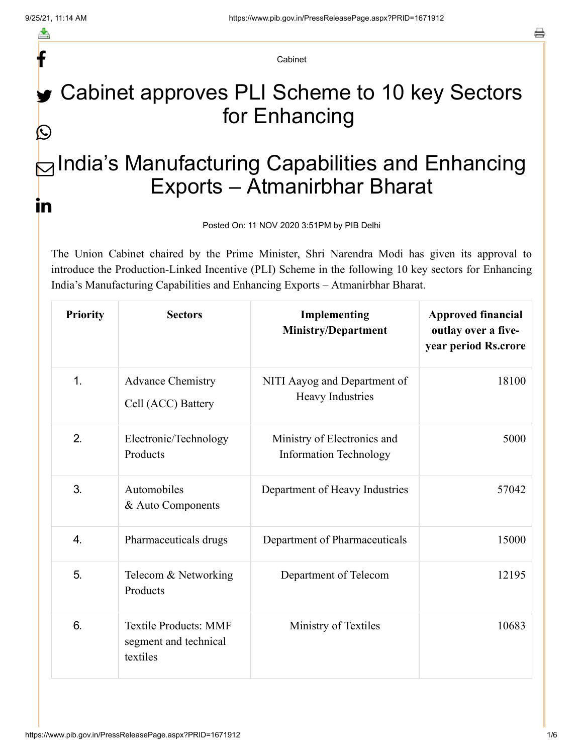f

≛

e

Cabinet

## Cabinet approves PLI Scheme to 10 key Sectors for Enhancing  $\bigcirc$

## $\boxdot$ India's Manufacturing Capabilities and Enhancing Exports – Atmanirbhar Bharat in

Posted On: 11 NOV 2020 3:51PM by PIB Delhi

The Union Cabinet chaired by the Prime Minister, Shri Narendra Modi has given its approval to introduce the Production-Linked Incentive (PLI) Scheme in the following 10 key sectors for Enhancing India's Manufacturing Capabilities and Enhancing Exports – Atmanirbhar Bharat.

| <b>Priority</b> | <b>Sectors</b>                                                    | Implementing<br><b>Ministry/Department</b>                   | <b>Approved financial</b><br>outlay over a five-<br>year period Rs.crore |
|-----------------|-------------------------------------------------------------------|--------------------------------------------------------------|--------------------------------------------------------------------------|
| 1.              | <b>Advance Chemistry</b><br>Cell (ACC) Battery                    | NITI Aayog and Department of<br>Heavy Industries             | 18100                                                                    |
| 2.              | Electronic/Technology<br>Products                                 | Ministry of Electronics and<br><b>Information Technology</b> | 5000                                                                     |
| 3.              | Automobiles<br>& Auto Components                                  | Department of Heavy Industries                               | 57042                                                                    |
| 4.              | Pharmaceuticals drugs                                             | Department of Pharmaceuticals                                | 15000                                                                    |
| 5.              | Telecom & Networking<br>Products                                  | Department of Telecom                                        | 12195                                                                    |
| 6.              | <b>Textile Products: MMF</b><br>segment and technical<br>textiles | Ministry of Textiles                                         | 10683                                                                    |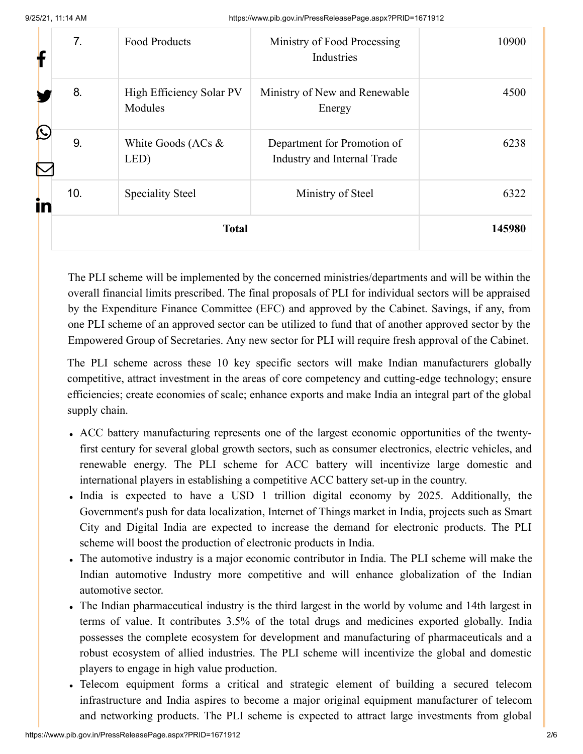9/25/21, 11:14 AM https://www.pib.gov.in/PressReleasePage.aspx?PRID=1671912

|    | 7.           | <b>Food Products</b>                | Ministry of Food Processing<br>Industries                  | 10900 |
|----|--------------|-------------------------------------|------------------------------------------------------------|-------|
|    | 8.           | High Efficiency Solar PV<br>Modules | Ministry of New and Renewable<br>Energy                    | 4500  |
| Ŀ  | 9.           | White Goods (ACs &<br>LED)          | Department for Promotion of<br>Industry and Internal Trade | 6238  |
| in | 10.          | <b>Speciality Steel</b>             | Ministry of Steel                                          | 6322  |
|    | <b>Total</b> |                                     | 145980                                                     |       |

The PLI scheme will be implemented by the concerned ministries/departments and will be within the overall financial limits prescribed. The final proposals of PLI for individual sectors will be appraised by the Expenditure Finance Committee (EFC) and approved by the Cabinet. Savings, if any, from one PLI scheme of an approved sector can be utilized to fund that of another approved sector by the Empowered Group of Secretaries. Any new sector for PLI will require fresh approval of the Cabinet.

The PLI scheme across these 10 key specific sectors will make Indian manufacturers globally competitive, attract investment in the areas of core competency and cutting-edge technology; ensure efficiencies; create economies of scale; enhance exports and make India an integral part of the global supply chain.

- ACC battery manufacturing represents one of the largest economic opportunities of the twentyfirst century for several global growth sectors, such as consumer electronics, electric vehicles, and renewable energy. The PLI scheme for ACC battery will incentivize large domestic and international players in establishing a competitive ACC battery set-up in the country.
- India is expected to have a USD 1 trillion digital economy by 2025. Additionally, the Government's push for data localization, Internet of Things market in India, projects such as Smart City and Digital India are expected to increase the demand for electronic products. The PLI scheme will boost the production of electronic products in India.
- The automotive industry is a major economic contributor in India. The PLI scheme will make the Indian automotive Industry more competitive and will enhance globalization of the Indian automotive sector.
- The Indian pharmaceutical industry is the third largest in the world by volume and 14th largest in terms of value. It contributes 3.5% of the total drugs and medicines exported globally. India possesses the complete ecosystem for development and manufacturing of pharmaceuticals and a robust ecosystem of allied industries. The PLI scheme will incentivize the global and domestic players to engage in high value production.
- Telecom equipment forms a critical and strategic element of building a secured telecom infrastructure and India aspires to become a major original equipment manufacturer of telecom and networking products. The PLI scheme is expected to attract large investments from global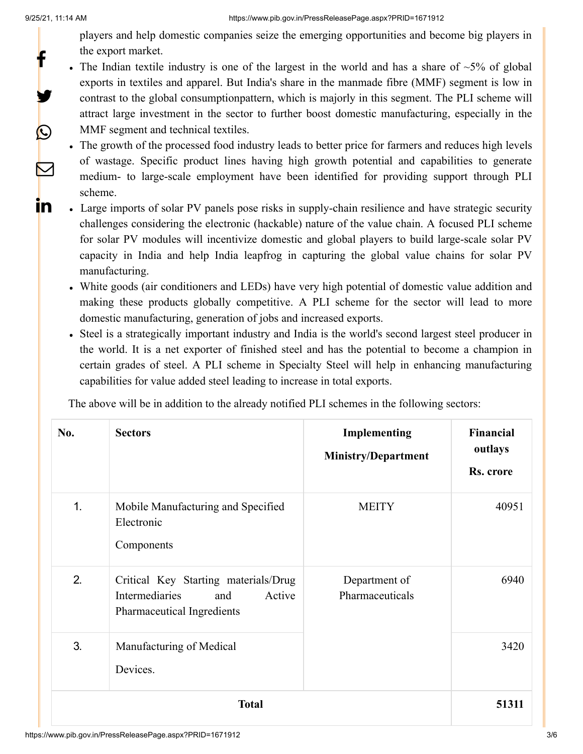f

y.

P

 $\triangledown$ 

<u>in</u>

players and help domestic companies seize the emerging opportunities and become big players in the export market.

- The Indian textile industry is one of the largest in the world and has a share of  $\sim$ 5% of global exports in textiles and apparel. But India's share in the manmade fibre (MMF) segment is low in contrast to the global consumptionpattern, which is majorly in this segment. The PLI scheme will attract large investment in the sector to further boost domestic manufacturing, especially in the MMF segment and technical textiles.
- The growth of the processed food industry leads to better price for farmers and reduces high levels of wastage. Specific product lines having high growth potential and capabilities to generate medium- to large-scale employment have been identified for providing support through PLI scheme.
- Large imports of solar PV panels pose risks in supply-chain resilience and have strategic security challenges considering the electronic (hackable) nature of the value chain. A focused PLI scheme for solar PV modules will incentivize domestic and global players to build large-scale solar PV capacity in India and help India leapfrog in capturing the global value chains for solar PV manufacturing.
- White goods (air conditioners and LEDs) have very high potential of domestic value addition and making these products globally competitive. A PLI scheme for the sector will lead to more domestic manufacturing, generation of jobs and increased exports.
- Steel is a strategically important industry and India is the world's second largest steel producer in the world. It is a net exporter of finished steel and has the potential to become a champion in certain grades of steel. A PLI scheme in Specialty Steel will help in enhancing manufacturing capabilities for value added steel leading to increase in total exports.

The above will be in addition to the already notified PLI schemes in the following sectors:

| No. | <b>Sectors</b>                                                                                        | Implementing<br>Ministry/Department | <b>Financial</b><br>outlays<br>Rs. crore |
|-----|-------------------------------------------------------------------------------------------------------|-------------------------------------|------------------------------------------|
| 1.  | Mobile Manufacturing and Specified<br>Electronic<br>Components                                        | <b>MEITY</b>                        | 40951                                    |
| 2.  | Critical Key Starting materials/Drug<br>Intermediaries<br>Active<br>and<br>Pharmaceutical Ingredients | Department of<br>Pharmaceuticals    | 6940                                     |
| 3.  | Manufacturing of Medical<br>Devices.                                                                  |                                     | 3420                                     |
|     | <b>Total</b>                                                                                          |                                     | 51311                                    |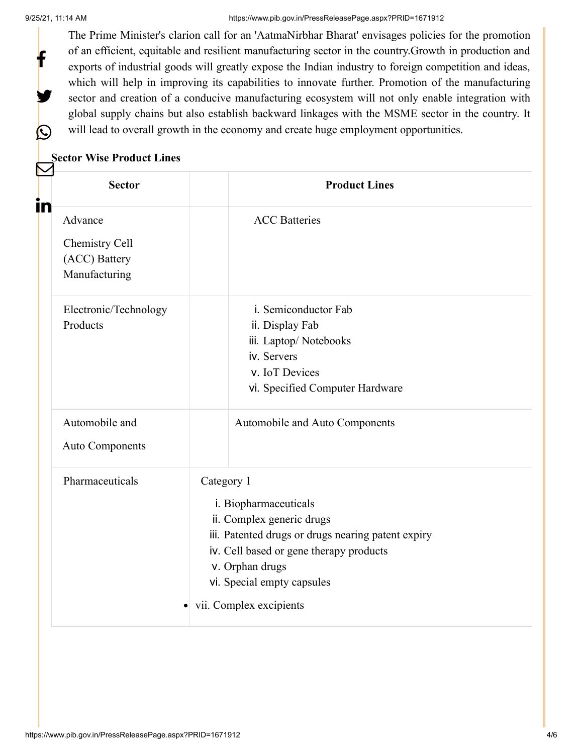f

y

 $\bigcirc$ 

## 9/25/21, 11:14 AM https://www.pib.gov.in/PressReleasePage.aspx?PRID=1671912

The Prime Minister's clarion call for an 'AatmaNirbhar Bharat' envisages policies for the promotion of an efficient, equitable and resilient manufacturing sector in the country.Growth in production and exports of industrial goods will greatly expose the Indian industry to foreign competition and ideas, which will help in improving its capabilities to innovate further. Promotion of the manufacturing sector and creation of a conducive manufacturing ecosystem will not only enable integration with global supply chains but also establish backward linkages with the MSME sector in the country. It will lead to overall growth in the economy and create huge employment opportunities.

## **Sector Wise Product Lines**

| in | <b>Sector</b>                                               | <b>Product Lines</b>                                                                                                                                                                                                                          |
|----|-------------------------------------------------------------|-----------------------------------------------------------------------------------------------------------------------------------------------------------------------------------------------------------------------------------------------|
|    | Advance<br>Chemistry Cell<br>(ACC) Battery<br>Manufacturing | <b>ACC</b> Batteries                                                                                                                                                                                                                          |
|    | Electronic/Technology<br>Products                           | i. Semiconductor Fab<br>ii. Display Fab<br>iii. Laptop/Notebooks<br>iv. Servers<br>v. IoT Devices<br>vi. Specified Computer Hardware                                                                                                          |
|    | Automobile and<br><b>Auto Components</b>                    | Automobile and Auto Components                                                                                                                                                                                                                |
|    | Pharmaceuticals<br>٠                                        | Category 1<br>i. Biopharmaceuticals<br>ii. Complex generic drugs<br>iii. Patented drugs or drugs nearing patent expiry<br>iv. Cell based or gene therapy products<br>v. Orphan drugs<br>vi. Special empty capsules<br>vii. Complex excipients |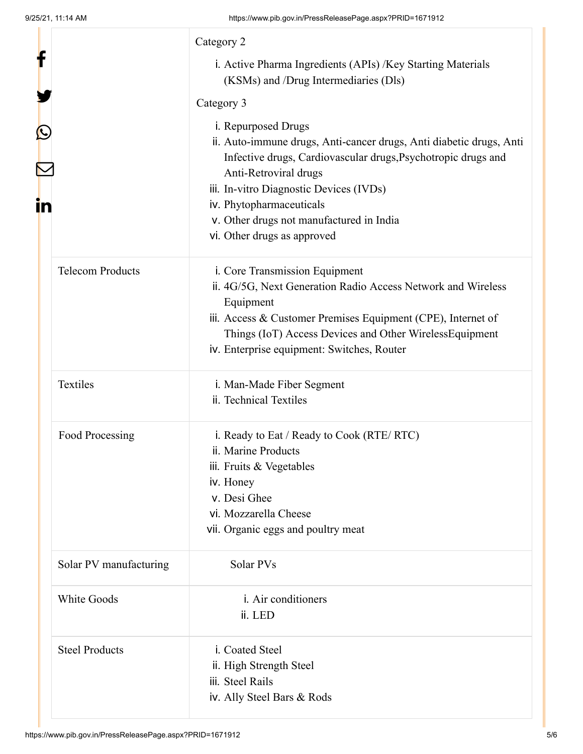|    |                         | Category 2                                                                                                                                                                                                                                                                                                                             |
|----|-------------------------|----------------------------------------------------------------------------------------------------------------------------------------------------------------------------------------------------------------------------------------------------------------------------------------------------------------------------------------|
| f  |                         | i. Active Pharma Ingredients (APIs) /Key Starting Materials<br>(KSMs) and /Drug Intermediaries (Dls)                                                                                                                                                                                                                                   |
|    |                         | Category 3                                                                                                                                                                                                                                                                                                                             |
| in |                         | i. Repurposed Drugs<br>ii. Auto-immune drugs, Anti-cancer drugs, Anti diabetic drugs, Anti<br>Infective drugs, Cardiovascular drugs, Psychotropic drugs and<br>Anti-Retroviral drugs<br>iii. In-vitro Diagnostic Devices (IVDs)<br>iv. Phytopharmaceuticals<br>v. Other drugs not manufactured in India<br>vi. Other drugs as approved |
|    | <b>Telecom Products</b> | i. Core Transmission Equipment<br>ii. 4G/5G, Next Generation Radio Access Network and Wireless<br>Equipment<br>iii. Access & Customer Premises Equipment (CPE), Internet of<br>Things (IoT) Access Devices and Other WirelessEquipment<br>iv. Enterprise equipment: Switches, Router                                                   |
|    | Textiles                | i. Man-Made Fiber Segment<br>ii. Technical Textiles                                                                                                                                                                                                                                                                                    |
|    | Food Processing         | i. Ready to Eat / Ready to Cook (RTE/ RTC)<br>ii. Marine Products<br>iii. Fruits & Vegetables<br>iv. Honey<br>v. Desi Ghee<br>vi. Mozzarella Cheese<br>vii. Organic eggs and poultry meat                                                                                                                                              |
|    | Solar PV manufacturing  | Solar PVs                                                                                                                                                                                                                                                                                                                              |
|    | White Goods             | i. Air conditioners<br>ii. LED                                                                                                                                                                                                                                                                                                         |
|    | <b>Steel Products</b>   | i. Coated Steel<br>ii. High Strength Steel<br>iii. Steel Rails<br>iv. Ally Steel Bars & Rods                                                                                                                                                                                                                                           |